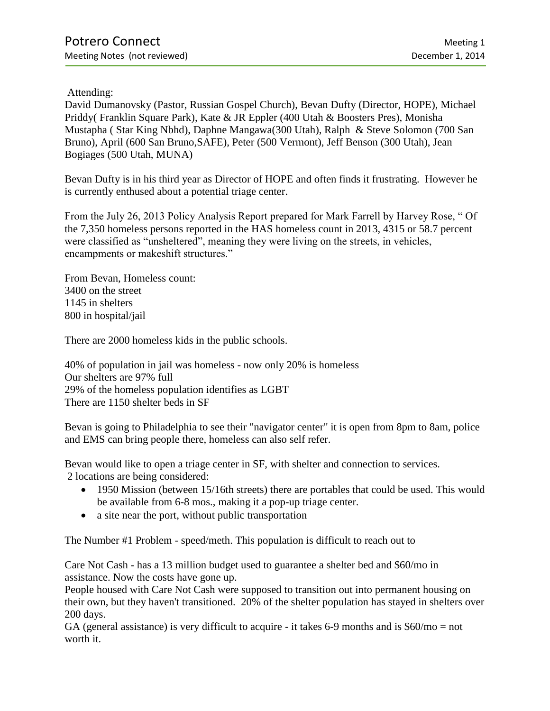Attending:

David Dumanovsky (Pastor, Russian Gospel Church), Bevan Dufty (Director, HOPE), Michael Priddy( Franklin Square Park), Kate & JR Eppler (400 Utah & Boosters Pres), Monisha Mustapha ( Star King Nbhd), Daphne Mangawa(300 Utah), Ralph & Steve Solomon (700 San Bruno), April (600 San Bruno,SAFE), Peter (500 Vermont), Jeff Benson (300 Utah), Jean Bogiages (500 Utah, MUNA)

Bevan Dufty is in his third year as Director of HOPE and often finds it frustrating. However he is currently enthused about a potential triage center.

From the July 26, 2013 Policy Analysis Report prepared for Mark Farrell by Harvey Rose, " Of the 7,350 homeless persons reported in the HAS homeless count in 2013, 4315 or 58.7 percent were classified as "unsheltered", meaning they were living on the streets, in vehicles, encampments or makeshift structures."

From Bevan, Homeless count: 3400 on the street 1145 in shelters 800 in hospital/jail

There are 2000 homeless kids in the public schools.

40% of population in jail was homeless - now only 20% is homeless Our shelters are 97% full 29% of the homeless population identifies as LGBT There are 1150 shelter beds in SF

Bevan is going to Philadelphia to see their "navigator center" it is open from 8pm to 8am, police and EMS can bring people there, homeless can also self refer.

Bevan would like to open a triage center in SF, with shelter and connection to services. 2 locations are being considered:

- 1950 Mission (between 15/16th streets) there are portables that could be used. This would be available from 6-8 mos., making it a pop-up triage center.
- a site near the port, without public transportation

The Number #1 Problem - speed/meth. This population is difficult to reach out to

Care Not Cash - has a 13 million budget used to guarantee a shelter bed and \$60/mo in assistance. Now the costs have gone up.

People housed with Care Not Cash were supposed to transition out into permanent housing on their own, but they haven't transitioned. 20% of the shelter population has stayed in shelters over 200 days.

GA (general assistance) is very difficult to acquire - it takes 6-9 months and is \$60/mo = not worth it.